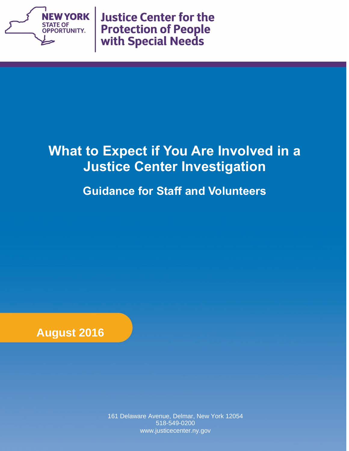

**Justice Center for the Protection of People** with Special Needs

# **What to Expect if You Are Involved in a Justice Center Investigation**

**Guidance for Staff and Volunteers**



161 Delaware Avenue, Delmar, New York 12054 518-549-0200 www.justicecenter.ny.gov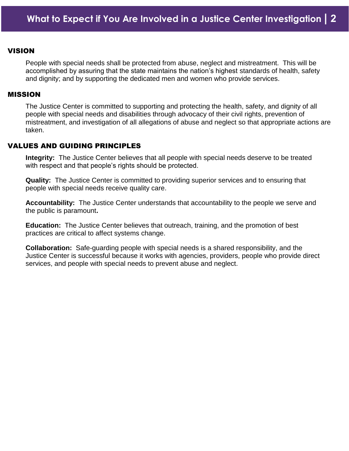#### **VISION**

People with special needs shall be protected from abuse, neglect and mistreatment. This will be accomplished by assuring that the state maintains the nation's highest standards of health, safety and dignity; and by supporting the dedicated men and women who provide services.

#### MISSION

The Justice Center is committed to supporting and protecting the health, safety, and dignity of all people with special needs and disabilities through advocacy of their civil rights, prevention of mistreatment, and investigation of all allegations of abuse and neglect so that appropriate actions are taken.

#### VALUES AND GUIDING PRINCIPLES

**Integrity:** The Justice Center believes that all people with special needs deserve to be treated with respect and that people's rights should be protected.

**Quality:** The Justice Center is committed to providing superior services and to ensuring that people with special needs receive quality care.

**Accountability:** The Justice Center understands that accountability to the people we serve and the public is paramount**.** 

**Education:** The Justice Center believes that outreach, training, and the promotion of best practices are critical to affect systems change.

**Collaboration:** Safe-guarding people with special needs is a shared responsibility, and the Justice Center is successful because it works with agencies, providers, people who provide direct services, and people with special needs to prevent abuse and neglect.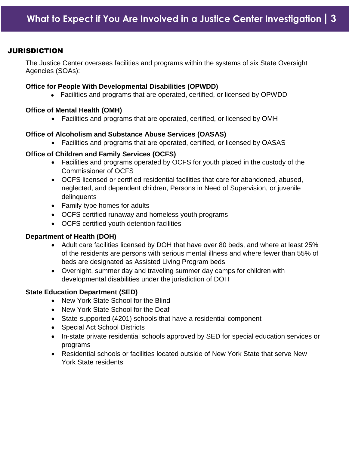## **JURISDICTION**

The Justice Center oversees facilities and programs within the systems of six State Oversight Agencies (SOAs):

#### **Office for People With Developmental Disabilities (OPWDD)**

Facilities and programs that are operated, certified, or licensed by OPWDD

#### **Office of Mental Health (OMH)**

Facilities and programs that are operated, certified, or licensed by OMH

#### **Office of Alcoholism and Substance Abuse Services (OASAS)**

Facilities and programs that are operated, certified, or licensed by OASAS

#### **Office of Children and Family Services (OCFS)**

- Facilities and programs operated by OCFS for youth placed in the custody of the Commissioner of OCFS
- OCFS licensed or certified residential facilities that care for abandoned, abused, neglected, and dependent children, Persons in Need of Supervision, or juvenile delinquents
- Family-type homes for adults
- OCFS certified runaway and homeless youth programs
- OCFS certified youth detention facilities

#### **Department of Health (DOH)**

- Adult care facilities licensed by DOH that have over 80 beds, and where at least 25% of the residents are persons with serious mental illness and where fewer than 55% of beds are designated as Assisted Living Program beds
- Overnight, summer day and traveling summer day camps for children with developmental disabilities under the jurisdiction of DOH

#### **State Education Department (SED)**

- New York State School for the Blind
- New York State School for the Deaf
- State-supported (4201) schools that have a residential component
- Special Act School Districts
- In-state private residential schools approved by SED for special education services or programs
- Residential schools or facilities located outside of New York State that serve New York State residents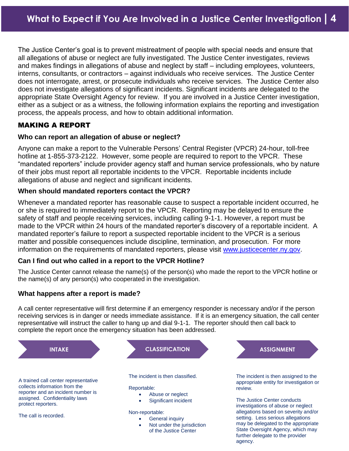The Justice Center's goal is to prevent mistreatment of people with special needs and ensure that all allegations of abuse or neglect are fully investigated. The Justice Center investigates, reviews and makes findings in allegations of abuse and neglect by staff – including employees, volunteers, interns, consultants, or contractors – against individuals who receive services. The Justice Center does not interrogate, arrest, or prosecute individuals who receive services. The Justice Center also does not investigate allegations of significant incidents. Significant incidents are delegated to the appropriate State Oversight Agency for review. If you are involved in a Justice Center investigation, either as a subject or as a witness, the following information explains the reporting and investigation process, the appeals process, and how to obtain additional information.

# MAKING A REPORT

## **Who can report an allegation of abuse or neglect?**

Anyone can make a report to the Vulnerable Persons' Central Register (VPCR) 24-hour, toll-free hotline at 1-855-373-2122. However, some people are required to report to the VPCR. These "mandated reporters" include provider agency staff and human service professionals, who by nature of their jobs must report all reportable incidents to the VPCR. Reportable incidents include allegations of abuse and neglect and significant incidents.

# **When should mandated reporters contact the VPCR?**

Whenever a mandated reporter has reasonable cause to suspect a reportable incident occurred, he or she is required to immediately report to the VPCR. Reporting may be delayed to ensure the safety of staff and people receiving services, including calling 9-1-1. However, a report must be made to the VPCR within 24 hours of the mandated reporter's discovery of a reportable incident. A mandated reporter's failure to report a suspected reportable incident to the VPCR is a serious matter and possible consequences include discipline, termination, and prosecution. For more information on the requirements of mandated reporters, please visit [www.justicecenter.ny.gov.](http://www.justicecenter.ny.gov/)

# **Can I find out who called in a report to the VPCR Hotline?**

The Justice Center cannot release the name(s) of the person(s) who made the report to the VPCR hotline or the name(s) of any person(s) who cooperated in the investigation.

# **What happens after a report is made?**

A call center representative will first determine if an emergency responder is necessary and/or if the person receiving services is in danger or needs immediate assistance. If it is an emergency situation, the call center representative will instruct the caller to hang up and dial 9-1-1. The reporter should then call back to complete the report once the emergency situation has been addressed.

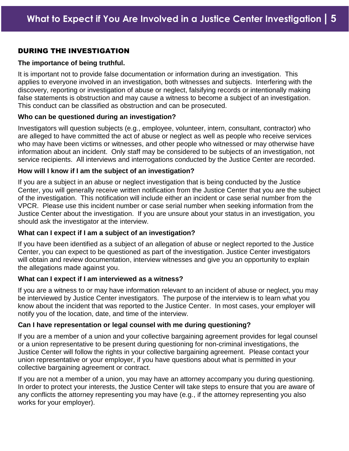# DURING THE INVESTIGATION

#### **The importance of being truthful.**

It is important not to provide false documentation or information during an investigation. This applies to everyone involved in an investigation, both witnesses and subjects. Interfering with the discovery, reporting or investigation of abuse or neglect, falsifying records or intentionally making false statements is obstruction and may cause a witness to become a subject of an investigation. This conduct can be classified as obstruction and can be prosecuted.

#### **Who can be questioned during an investigation?**

Investigators will question subjects (e.g., employee, volunteer, intern, consultant, contractor) who are alleged to have committed the act of abuse or neglect as well as people who receive services who may have been victims or witnesses, and other people who witnessed or may otherwise have information about an incident. Only staff may be considered to be subjects of an investigation, not service recipients. All interviews and interrogations conducted by the Justice Center are recorded.

#### **How will I know if I am the subject of an investigation?**

If you are a subject in an abuse or neglect investigation that is being conducted by the Justice Center, you will generally receive written notification from the Justice Center that you are the subject of the investigation. This notification will include either an incident or case serial number from the VPCR. Please use this incident number or case serial number when seeking information from the Justice Center about the investigation. If you are unsure about your status in an investigation, you should ask the investigator at the interview.

#### **What can I expect if I am a subject of an investigation?**

If you have been identified as a subject of an allegation of abuse or neglect reported to the Justice Center, you can expect to be questioned as part of the investigation. Justice Center investigators will obtain and review documentation, interview witnesses and give you an opportunity to explain the allegations made against you.

#### **What can I expect if I am interviewed as a witness?**

If you are a witness to or may have information relevant to an incident of abuse or neglect, you may be interviewed by Justice Center investigators. The purpose of the interview is to learn what you know about the incident that was reported to the Justice Center. In most cases, your employer will notify you of the location, date, and time of the interview.

## **Can I have representation or legal counsel with me during questioning?**

If you are a member of a union and your collective bargaining agreement provides for legal counsel or a union representative to be present during questioning for non-criminal investigations, the Justice Center will follow the rights in your collective bargaining agreement. Please contact your union representative or your employer, if you have questions about what is permitted in your collective bargaining agreement or contract.

If you are not a member of a union, you may have an attorney accompany you during questioning. In order to protect your interests, the Justice Center will take steps to ensure that you are aware of any conflicts the attorney representing you may have (e.g., if the attorney representing you also works for your employer).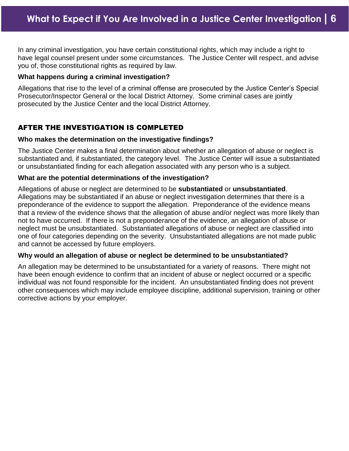In any criminal investigation, you have certain constitutional rights, which may include a right to have legal counsel present under some circumstances. The Justice Center will respect, and advise you of, those constitutional rights as required by law.

# **What happens during a criminal investigation?**

Allegations that rise to the level of a criminal offense are prosecuted by the Justice Center's Special Prosecutor/Inspector General or the local District Attorney. Some criminal cases are jointly prosecuted by the Justice Center and the local District Attorney.

# AFTER THE INVESTIGATION IS COMPLETED

## **Who makes the determination on the investigative findings?**

The Justice Center makes a final determination about whether an allegation of abuse or neglect is substantiated and, if substantiated, the category level. The Justice Center will issue a substantiated or unsubstantiated finding for each allegation associated with any person who is a subject.

# **What are the potential determinations of the investigation?**

Allegations of abuse or neglect are determined to be **substantiated** or **unsubstantiated**. Allegations may be substantiated if an abuse or neglect investigation determines that there is a preponderance of the evidence to support the allegation. Preponderance of the evidence means that a review of the evidence shows that the allegation of abuse and/or neglect was more likely than not to have occurred. If there is not a preponderance of the evidence, an allegation of abuse or neglect must be unsubstantiated. Substantiated allegations of abuse or neglect are classified into one of four categories depending on the severity. Unsubstantiated allegations are not made public and cannot be accessed by future employers.

# **Why would an allegation of abuse or neglect be determined to be unsubstantiated?**

An allegation may be determined to be unsubstantiated for a variety of reasons. There might not have been enough evidence to confirm that an incident of abuse or neglect occurred or a specific individual was not found responsible for the incident. An unsubstantiated finding does not prevent other consequences which may include employee discipline, additional supervision, training or other corrective actions by your employer.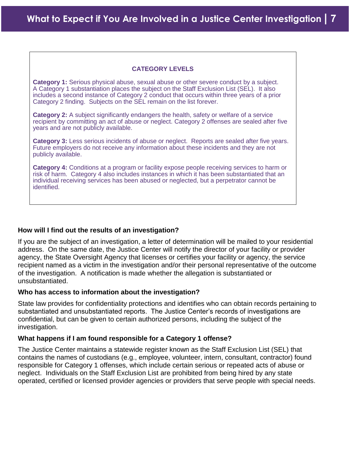## **CATEGORY LEVELS**

**Category 1:** Serious physical abuse, sexual abuse or other severe conduct by a subject. A Category 1 substantiation places the subject on the Staff Exclusion List (SEL). It also includes a second instance of Category 2 conduct that occurs within three years of a prior Category 2 finding. Subjects on the SEL remain on the list forever.

**Category 2:** A subject significantly endangers the health, safety or welfare of a service recipient by committing an act of abuse or neglect. Category 2 offenses are sealed after five years and are not publicly available.

**Category 3:** Less serious incidents of abuse or neglect. Reports are sealed after five years. Future employers do not receive any information about these incidents and they are not publicly available.

**Category 4:** Conditions at a program or facility expose people receiving services to harm or risk of harm. Category 4 also includes instances in which it has been substantiated that an individual receiving services has been abused or neglected, but a perpetrator cannot be identified.

## **How will I find out the results of an investigation?**

If you are the subject of an investigation, a letter of determination will be mailed to your residential address. On the same date, the Justice Center will notify the director of your facility or provider agency, the State Oversight Agency that licenses or certifies your facility or agency, the service recipient named as a victim in the investigation and/or their personal representative of the outcome of the investigation. A notification is made whether the allegation is substantiated or unsubstantiated.

#### **Who has access to information about the investigation?**

State law provides for confidentiality protections and identifies who can obtain records pertaining to substantiated and unsubstantiated reports. The Justice Center's records of investigations are confidential, but can be given to certain authorized persons, including the subject of the investigation.

#### **What happens if I am found responsible for a Category 1 offense?**

The Justice Center maintains a statewide register known as the Staff Exclusion List (SEL) that contains the names of custodians (e.g., employee, volunteer, intern, consultant, contractor) found responsible for Category 1 offenses, which include certain serious or repeated acts of abuse or neglect. Individuals on the Staff Exclusion List are prohibited from being hired by any state operated, certified or licensed provider agencies or providers that serve people with special needs.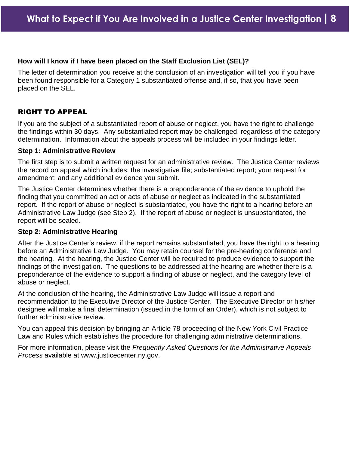### **How will I know if I have been placed on the Staff Exclusion List (SEL)?**

The letter of determination you receive at the conclusion of an investigation will tell you if you have been found responsible for a Category 1 substantiated offense and, if so, that you have been placed on the SEL.

# RIGHT TO APPEAL

If you are the subject of a substantiated report of abuse or neglect, you have the right to challenge the findings within 30 days. Any substantiated report may be challenged, regardless of the category determination. Information about the appeals process will be included in your findings letter.

#### **Step 1: Administrative Review**

The first step is to submit a written request for an administrative review. The Justice Center reviews the record on appeal which includes: the investigative file; substantiated report; your request for amendment; and any additional evidence you submit.

The Justice Center determines whether there is a preponderance of the evidence to uphold the finding that you committed an act or acts of abuse or neglect as indicated in the substantiated report. If the report of abuse or neglect is substantiated, you have the right to a hearing before an Administrative Law Judge (see Step 2). If the report of abuse or neglect is unsubstantiated, the report will be sealed.

## **Step 2: Administrative Hearing**

After the Justice Center's review, if the report remains substantiated, you have the right to a hearing before an Administrative Law Judge. You may retain counsel for the pre-hearing conference and the hearing. At the hearing, the Justice Center will be required to produce evidence to support the findings of the investigation. The questions to be addressed at the hearing are whether there is a preponderance of the evidence to support a finding of abuse or neglect, and the category level of abuse or neglect.

At the conclusion of the hearing, the Administrative Law Judge will issue a report and recommendation to the Executive Director of the Justice Center. The Executive Director or his/her designee will make a final determination (issued in the form of an Order), which is not subject to further administrative review.

You can appeal this decision by bringing an Article 78 proceeding of the New York Civil Practice Law and Rules which establishes the procedure for challenging administrative determinations.

For more information, please visit the *Frequently Asked Questions for the Administrative Appeals Process* available at [www.justicecenter.ny.gov.](http://www.justicecenter.ny.gov/)